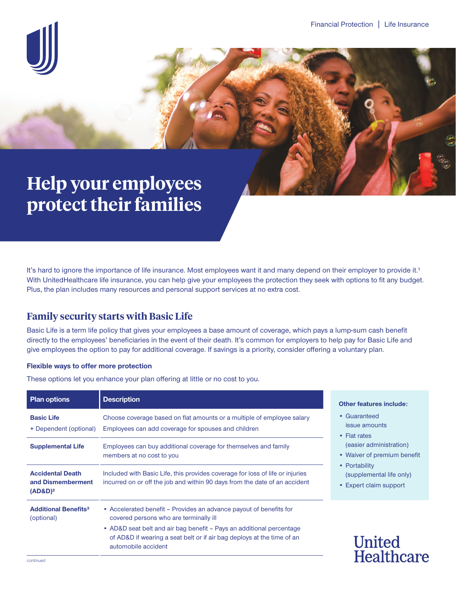

# **Help your employees protect their families**

It's hard to ignore the importance of life insurance. Most employees want it and many depend on their employer to provide it.<sup>1</sup> With UnitedHealthcare life insurance, you can help give your employees the protection they seek with options to fit any budget. Plus, the plan includes many resources and personal support services at no extra cost.

# **Family security starts with Basic Life**

Basic Life is a term life policy that gives your employees a base amount of coverage, which pays a lump-sum cash benefit directly to the employees' beneficiaries in the event of their death. It's common for employers to help pay for Basic Life and give employees the option to pay for additional coverage. If savings is a priority, consider offering a voluntary plan.

### **Flexible ways to offer more protection**

These options let you enhance your plan offering at little or no cost to you.

| <b>Plan options</b>                                        | <b>Description</b>                                                                                                                                                    |
|------------------------------------------------------------|-----------------------------------------------------------------------------------------------------------------------------------------------------------------------|
| <b>Basic Life</b><br>+ Dependent (optional)                | Choose coverage based on flat amounts or a multiple of employee salary<br>Employees can add coverage for spouses and children                                         |
| <b>Supplemental Life</b>                                   | Employees can buy additional coverage for themselves and family<br>members at no cost to you                                                                          |
| <b>Accidental Death</b><br>and Dismemberment<br>$(AD&D)^2$ | Included with Basic Life, this provides coverage for loss of life or injuries<br>incurred on or off the job and within 90 days from the date of an accident           |
| <b>Additional Benefits<sup>3</sup></b><br>(optional)       | • Accelerated benefit – Provides an advance payout of benefits for<br>covered persons who are terminally ill                                                          |
|                                                            | • AD&D seat belt and air bag benefit - Pays an additional percentage<br>of AD&D if wearing a seat belt or if air bag deploys at the time of an<br>automobile accident |

#### **atures include:**

- nteed amounts
- tes r administration)
- r of premium benefit
- Portability lemental life only)
- t claim support

**Inited** Healthcare